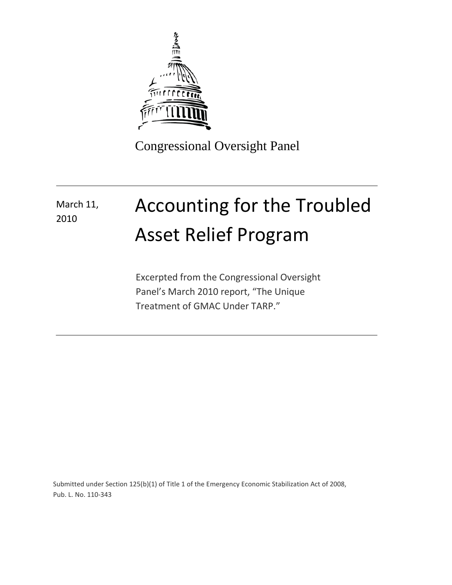

Congressional Oversight Panel

## Accounting for the Troubled Asset Relief Program March 11, 2010

Excerpted from the Congressional Oversight Panel's March 2010 report, "The Unique Treatment of GMAC Under TARP."

Submitted under Section 125(b)(1) of Title 1 of the Emergency Economic Stabilization Act of 2008, Pub. L. No. 110-343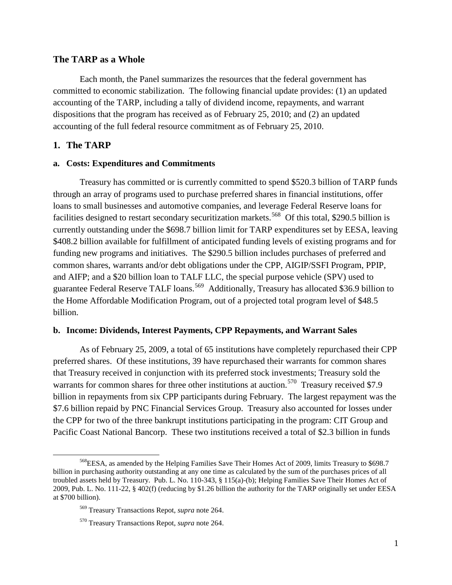#### **The TARP as a Whole**

Each month, the Panel summarizes the resources that the federal government has committed to economic stabilization. The following financial update provides: (1) an updated accounting of the TARP, including a tally of dividend income, repayments, and warrant dispositions that the program has received as of February 25, 2010; and (2) an updated accounting of the full federal resource commitment as of February 25, 2010.

### **1. The TARP**

l

#### **a. Costs: Expenditures and Commitments**

Treasury has committed or is currently committed to spend \$520.3 billion of TARP funds through an array of programs used to purchase preferred shares in financial institutions, offer loans to small businesses and automotive companies, and leverage Federal Reserve loans for facilities designed to restart secondary securitization markets.<sup>[568](#page-1-0)</sup> Of this total, \$290.5 billion is currently outstanding under the \$698.7 billion limit for TARP expenditures set by EESA, leaving \$408.2 billion available for fulfillment of anticipated funding levels of existing programs and for funding new programs and initiatives. The \$290.5 billion includes purchases of preferred and common shares, warrants and/or debt obligations under the CPP, AIGIP/SSFI Program, PPIP, and AIFP; and a \$20 billion loan to TALF LLC, the special purpose vehicle (SPV) used to guarantee Federal Reserve TALF loans.<sup>[569](#page-1-1)</sup> Additionally, Treasury has allocated \$36.9 billion to the Home Affordable Modification Program, out of a projected total program level of \$48.5 billion.

### **b. Income: Dividends, Interest Payments, CPP Repayments, and Warrant Sales**

As of February 25, 2009, a total of 65 institutions have completely repurchased their CPP preferred shares. Of these institutions, 39 have repurchased their warrants for common shares that Treasury received in conjunction with its preferred stock investments; Treasury sold the warrants for common shares for three other institutions at auction.<sup>[570](#page-1-2)</sup> Treasury received \$7.9 billion in repayments from six CPP participants during February. The largest repayment was the \$7.6 billion repaid by PNC Financial Services Group. Treasury also accounted for losses under the CPP for two of the three bankrupt institutions participating in the program: CIT Group and Pacific Coast National Bancorp. These two institutions received a total of \$2.3 billion in funds

<span id="page-1-1"></span><span id="page-1-0"></span><sup>568</sup>EESA, as amended by the Helping Families Save Their Homes Act of 2009, limits Treasury to \$698.7 billion in purchasing authority outstanding at any one time as calculated by the sum of the purchases prices of all troubled assets held by Treasury. Pub. L. No. 110-343, § 115(a)-(b); Helping Families Save Their Homes Act of 2009, Pub. L. No. 111-22, § 402(f) (reducing by \$1.26 billion the authority for the TARP originally set under EESA at \$700 billion).

<sup>569</sup> Treasury Transactions Repot, *supra* note 264.

<span id="page-1-2"></span><sup>570</sup> Treasury Transactions Repot, *supra* note 264.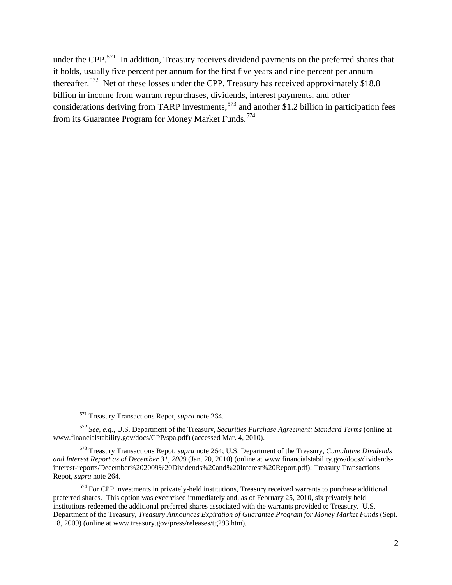under the CPP.<sup>[571](#page-2-0)</sup> In addition, Treasury receives dividend payments on the preferred shares that it holds, usually five percent per annum for the first five years and nine percent per annum thereafter.<sup>572</sup> Net of these losses under the CPP, Treasury has received approximately \$18.8 billion in income from warrant repurchases, dividends, interest payments, and other considerations deriving from TARP investments, [573](#page-2-2) and another \$1.2 billion in participation fees from its Guarantee Program for Money Market Funds.<sup>[574](#page-2-3)</sup>

 $\overline{\phantom{0}}$ 

<sup>571</sup> Treasury Transactions Repot, *supra* note 264.

<span id="page-2-1"></span><span id="page-2-0"></span><sup>572</sup> *See, e.g.*, U.S. Department of the Treasury, *Securities Purchase Agreement: Standard Terms* (online at www.financialstability.gov/docs/CPP/spa.pdf) (accessed Mar. 4, 2010).

<span id="page-2-2"></span><sup>573</sup> Treasury Transactions Repot, *supra* note 264; U.S. Department of the Treasury, *Cumulative Dividends and Interest Report as of December 31, 2009* (Jan. 20, 2010) (online at www.financialstability.gov/docs/dividendsinterest-reports/December%202009%20Dividends%20and%20Interest%20Report.pdf); Treasury Transactions Repot, *supra* note 264.

<span id="page-2-3"></span> $574$  For CPP investments in privately-held institutions, Treasury received warrants to purchase additional preferred shares. This option was excercised immediately and, as of February 25, 2010, six privately held institutions redeemed the additional preferred shares associated with the warrants provided to Treasury. U.S. Department of the Treasury, *Treasury Announces Expiration of Guarantee Program for Money Market Funds* (Sept. 18, 2009) (online at www.treasury.gov/press/releases/tg293.htm).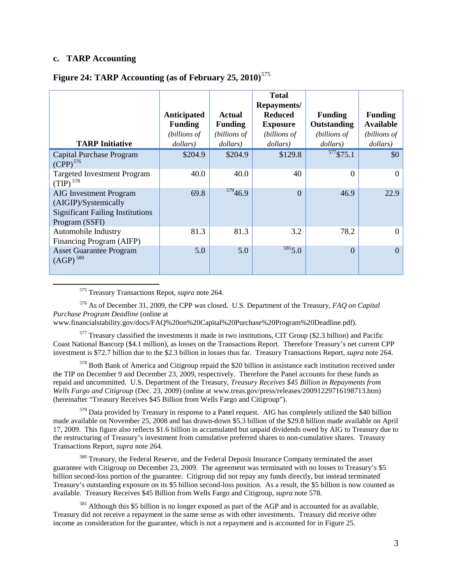### **c. TARP Accounting**

<span id="page-3-1"></span>Asset Guarantee Program

 $(AGP)<sup>580</sup>$  $(AGP)<sup>580</sup>$  $(AGP)<sup>580</sup>$ 

l

|                                                                                                                    |                               |                          | <b>Total</b><br>Repayments/       |                               |                                    |
|--------------------------------------------------------------------------------------------------------------------|-------------------------------|--------------------------|-----------------------------------|-------------------------------|------------------------------------|
|                                                                                                                    | Anticipated<br><b>Funding</b> | Actual<br><b>Funding</b> | <b>Reduced</b><br><b>Exposure</b> | <b>Funding</b><br>Outstanding | <b>Funding</b><br><b>Available</b> |
|                                                                                                                    | (billions of                  | (billions of             | (billions of                      | (billions of                  | (billions of                       |
| <b>TARP Initiative</b>                                                                                             | dollars)                      | dollars)                 | dollars)                          | dollars)                      | dollars)                           |
| Capital Purchase Program<br>(CPP) <sup>576</sup>                                                                   | \$204.9                       | \$204.9                  | \$129.8                           | $577$ \$75.1                  | \$0                                |
| <b>Targeted Investment Program</b><br>$(TIP)$ <sup>578</sup>                                                       | 40.0                          | 40.0                     | 40                                | $\Omega$                      | $\overline{0}$                     |
| <b>AIG</b> Investment Program<br>(AIGIP)/Systemically<br><b>Significant Failing Institutions</b><br>Program (SSFI) | 69.8                          | 57946.9                  | $\Omega$                          | 46.9                          | 22.9                               |
| Automobile Industry<br>Financing Program (AIFP)                                                                    | 81.3                          | 81.3                     | 3.2                               | 78.2                          | $\boldsymbol{0}$                   |

## **Figure 24: TARP Accounting (as of February 25, 2010)** [575](#page-3-2)

<sup>575</sup> Treasury Transactions Repot, *supra* note 264.

<span id="page-3-3"></span><span id="page-3-2"></span><sup>576</sup> As of December 31, 2009, the CPP was closed. U.S. Department of the Treasury, *FAQ on Capital Purchase Program Deadline* (online at

5.0 5.0  $5.0$  [5815](#page-3-8).0 0 0

www.financialstability.gov/docs/FAQ%20on%20Capital%20Purchase%20Program%20Deadline.pdf).

<span id="page-3-4"></span> $577$  Treasury classified the investments it made in two institutions, CIT Group (\$2.3 billion) and Pacific Coast National Bancorp (\$4.1 million), as losses on the Transactions Report. Therefore Treasury's net current CPP investment is \$72.7 billion due to the \$2.3 billion in losses thus far. Treasury Transactions Report, *supra* note 264.

<span id="page-3-5"></span><sup>578</sup> Both Bank of America and Citigroup repaid the \$20 billion in assistance each institution received under the TIP on December 9 and December 23, 2009, respectively. Therefore the Panel accounts for these funds as repaid and uncommitted. U.S. Department of the Treasury, *Treasury Receives \$45 Billion in Repayments from Wells Fargo and Citigroup* (Dec. 23, 2009) (online at www.treas.gov/press/releases/20091229716198713.htm) (hereinafter "Treasury Receives \$45 Billion from Wells Fargo and Citigroup").

<span id="page-3-6"></span><span id="page-3-0"></span><sup>579</sup> Data provided by Treasury in response to a Panel request. AIG has completely utilized the \$40 billion made available on November 25, 2008 and has drawn-down \$5.3 billion of the \$29.8 billion made available on April 17, 2009. This figure also reflects \$1.6 billion in accumulated but unpaid dividends owed by AIG to Treasury due to the restructuring of Treasury's investment from cumulative preferred shares to non-cumulative shares. Treasury Transactions Report, *supra* note 264.

<span id="page-3-7"></span><sup>580</sup> Treasury, the Federal Reserve, and the Federal Deposit Insurance Company terminated the asset guarantee with Citigroup on December 23, 2009. The agreement was terminated with no losses to Treasury's \$5 billion second-loss portion of the guarantee. Citigroup did not repay any funds directly, but instead terminated Treasury's outstanding exposure on its \$5 billion second-loss position. As a result, the \$5 billion is now counted as available. [Treasury Receives \\$45 Billion from Wells Fargo and Citigroup,](#page-3-0) *supra* note [578.](#page-3-1)

<span id="page-3-8"></span><sup>581</sup> Although this \$5 billion is no longer exposed as part of the AGP and is accounted for as available, Treasury did not receive a repayment in the same sense as with other investments. Treasury did receive other income as consideration for the guarantee, which is not a repayment and is accounted for in Figure 25.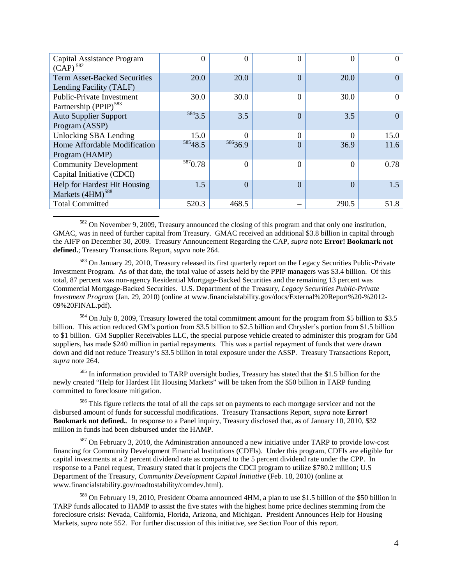| Capital Assistance Program<br>$(CAP)^{582}$ | 0       | 0                   | 0        | 0        | $\Omega$ |
|---------------------------------------------|---------|---------------------|----------|----------|----------|
| <b>Term Asset-Backed Securities</b>         | 20.0    | 20.0                | $\Omega$ | 20.0     | $\Omega$ |
| Lending Facility (TALF)                     |         |                     |          |          |          |
| Public-Private Investment                   | 30.0    | 30.0                | $\Omega$ | 30.0     | $\theta$ |
| Partnership (PPIP) <sup>583</sup>           |         |                     |          |          |          |
| <b>Auto Supplier Support</b>                | 5843.5  | 3.5                 | $\Omega$ | 3.5      | $\Omega$ |
| Program (ASSP)                              |         |                     |          |          |          |
| Unlocking SBA Lending                       | 15.0    |                     | 0        | $\Omega$ | 15.0     |
| Home Affordable Modification                | 58548.5 | <sup>586</sup> 36.9 | $\theta$ | 36.9     | 11.6     |
| Program (HAMP)                              |         |                     |          |          |          |
| <b>Community Development</b>                | 5870.78 | $\Omega$            | $\Omega$ | $\theta$ | 0.78     |
| Capital Initiative (CDCI)                   |         |                     |          |          |          |
| Help for Hardest Hit Housing                | 1.5     | $\Omega$            | $\theta$ | $\Omega$ | 1.5      |
| Markets (4HM) <sup>588</sup>                |         |                     |          |          |          |
| <b>Total Committed</b>                      | 520.3   | 468.5               |          | 290.5    | 51.8     |

<span id="page-4-0"></span><sup>582</sup> On November 9, 2009, Treasury announced the closing of this program and that only one institution, GMAC, was in need of further capital from Treasury. GMAC received an additional \$3.8 billion in capital through the AIFP on December 30, 2009. Treasury Announcement Regarding the CAP, *supra* note **Error! Bookmark not defined.**; Treasury Transactions Report, *supra* note 264.

 $\overline{\phantom{0}}$ 

<span id="page-4-1"></span><sup>583</sup> On January 29, 2010, Treasury released its first quarterly report on the Legacy Securities Public-Private Investment Program. As of that date, the total value of assets held by the PPIP managers was \$3.4 billion. Of this total, 87 percent was non-agency Residential Mortgage-Backed Securities and the remaining 13 percent was Commercial Mortgage-Backed Securities. U.S. Department of the Treasury, *Legacy Securities Public-Private Investment Program* (Jan. 29, 2010) (online at www.financialstability.gov/docs/External%20Report%20-%2012- 09%20FINAL.pdf).

<span id="page-4-2"></span><sup>584</sup> On July 8, 2009, Treasury lowered the total commitment amount for the program from \$5 billion to \$3.5 billion. This action reduced GM's portion from \$3.5 billion to \$2.5 billion and Chrysler's portion from \$1.5 billion to \$1 billion. GM Supplier Receivables LLC, the special purpose vehicle created to administer this program for GM suppliers, has made \$240 million in partial repayments. This was a partial repayment of funds that were drawn down and did not reduce Treasury's \$3.5 billion in total exposure under the ASSP. Treasury Transactions Report, *supra* note 264.

<span id="page-4-3"></span><sup>585</sup> In information provided to TARP oversight bodies, Treasury has stated that the \$1.5 billion for the newly created "Help for Hardest Hit Housing Markets" will be taken from the \$50 billion in TARP funding committed to foreclosure mitigation.

<span id="page-4-4"></span><sup>586</sup> This figure reflects the total of all the caps set on payments to each mortgage servicer and not the disbursed amount of funds for successful modifications. Treasury Transactions Report, *supra* note **Error! Bookmark not defined.**. In response to a Panel inquiry, Treasury disclosed that, as of January 10, 2010, \$32 million in funds had been disbursed under the HAMP.

<span id="page-4-5"></span> $587$  On February 3, 2010, the Administration announced a new initiative under TARP to provide low-cost financing for Community Development Financial Institutions (CDFIs). Under this program, CDFIs are eligible for capital investments at a 2 percent dividend rate as compared to the 5 percent dividend rate under the CPP. In response to a Panel request, Treasury stated that it projects the CDCI program to utilize \$780.2 million; U.S Department of the Treasury, *Community Development Capital Initiative* (Feb. 18, 2010) (online at www.financialstability.gov/roadtostability/comdev.html).

<span id="page-4-6"></span><sup>588</sup> On February 19, 2010, President Obama announced 4HM, a plan to use \$1.5 billion of the \$50 billion in TARP funds allocated to HAMP to assist the five states with the highest home price declines stemming from the foreclosure crisis: Nevada, California, Florida, Arizona, and Michigan. President Announces Help for Housing Markets, *supra* note 552. For further discussion of this initiative, *see* Section Four of this report.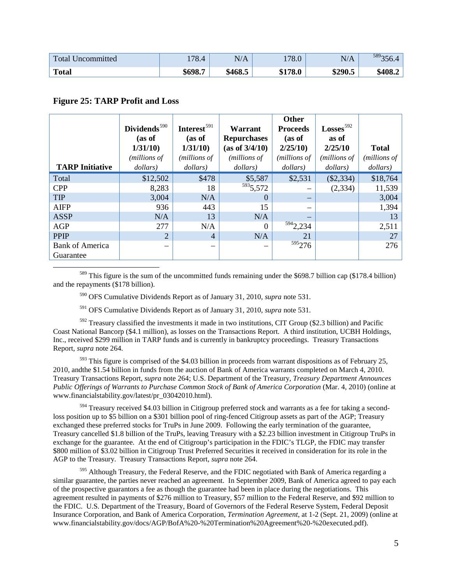| Total<br>Uncommitted | 70<br>1/0.4 | N/A     | 178.0   | N/A     | 589 <sub>2</sub><br>330.4 |
|----------------------|-------------|---------|---------|---------|---------------------------|
| <b>Total</b>         | \$698.7     | \$468.5 | \$178.0 | \$290.5 | \$408.2                   |

#### **Figure 25: TARP Profit and Loss**

| Dividends <sup>590</sup><br>(as of<br>1/31/10<br>(millions of<br>dollars) | Interest <sup>591</sup><br>(as of<br>1/31/10<br>(millions of<br>dollars) | Warrant<br><b>Repurchases</b><br>(as of 3/4/10)<br>(millions of<br>dollars) | Other<br><b>Proceeds</b><br>(as of<br>2/25/10<br>(millions of<br>dollars) | $Losses$ <sup>592</sup><br>as of<br>2/25/10<br>(millions of<br>dollars) | <b>Total</b><br>( <i>millions of</i><br>dollars) |
|---------------------------------------------------------------------------|--------------------------------------------------------------------------|-----------------------------------------------------------------------------|---------------------------------------------------------------------------|-------------------------------------------------------------------------|--------------------------------------------------|
| \$12,502                                                                  | \$478                                                                    | \$5,587                                                                     | \$2,531                                                                   | $(\$2,334)$                                                             | \$18,764                                         |
| 8,283                                                                     | 18                                                                       |                                                                             |                                                                           | (2, 334)                                                                | 11,539                                           |
| 3,004                                                                     | N/A                                                                      | $\theta$                                                                    |                                                                           |                                                                         | 3,004                                            |
| 936                                                                       | 443                                                                      | 15                                                                          |                                                                           |                                                                         | 1,394                                            |
| N/A                                                                       | 13                                                                       | N/A                                                                         |                                                                           |                                                                         | 13                                               |
| 277                                                                       | N/A                                                                      | $\Omega$                                                                    |                                                                           |                                                                         | 2,511                                            |
| $\overline{2}$                                                            | $\overline{4}$                                                           | N/A                                                                         | 21                                                                        |                                                                         | 27                                               |
|                                                                           |                                                                          |                                                                             |                                                                           |                                                                         | 276                                              |
|                                                                           |                                                                          |                                                                             | $\frac{593}{5,572}$                                                       | 5942,234<br>$595$ <sub>276</sub>                                        |                                                  |

<span id="page-5-1"></span><span id="page-5-0"></span><sup>589</sup> This figure is the sum of the uncommitted funds remaining under the \$698.7 billion cap (\$178.4 billion) and the repayments (\$178 billion).

<sup>590</sup> OFS Cumulative Dividends Report as of January 31, 2010, *supra* note 531.

<sup>591</sup> OFS Cumulative Dividends Report as of January 31, 2010, *supra* note 531.

<span id="page-5-3"></span><span id="page-5-2"></span> $592$  Treasury classified the investments it made in two institutions, CIT Group (\$2.3 billion) and Pacific Coast National Bancorp (\$4.1 million), as losses on the Transactions Report. A third institution, UCBH Holdings, Inc., received \$299 million in TARP funds and is currently in bankruptcy proceedings. Treasury Transactions Report, *supra* note 264.

<span id="page-5-4"></span> $593$  This figure is comprised of the \$4.03 billion in proceeds from warrant dispositions as of February 25, 2010, andthe \$1.54 billion in funds from the auction of Bank of America warrants completed on March 4, 2010. Treasury Transactions Report, *supra* note 264; U.S. Department of the Treasury, *Treasury Department Announces Public Offerings of Warrants to Purchase Common Stock of Bank of America Corporation (Mar. 4, 2010) (online at* www.financialstability.gov/latest/pr\_03042010.html).

<span id="page-5-5"></span><sup>594</sup> Treasury received \$4.03 billion in Citigroup preferred stock and warrants as a fee for taking a secondloss position up to \$5 billion on a \$301 billion pool of ring-fenced Citigroup assets as part of the AGP; Treasury exchanged these preferred stocks for TruPs in June 2009. Following the early termination of the guarantee, Treasury cancelled \$1.8 billion of the TruPs, leaving Treasury with a \$2.23 billion investment in Citigroup TruPs in exchange for the guarantee. At the end of Citigroup's participation in the FDIC's TLGP, the FDIC may transfer \$800 million of \$3.02 billion in Citigroup Trust Preferred Securities it received in consideration for its role in the AGP to the Treasury. Treasury Transactions Report, *supra* note 264.

<span id="page-5-6"></span><sup>595</sup> Although Treasury, the Federal Reserve, and the FDIC negotiated with Bank of America regarding a similar guarantee, the parties never reached an agreement. In September 2009, Bank of America agreed to pay each of the prospective guarantors a fee as though the guarantee had been in place during the negotiations. This agreement resulted in payments of \$276 million to Treasury, \$57 million to the Federal Reserve, and \$92 million to the FDIC. U.S. Department of the Treasury, Board of Governors of the Federal Reserve System, Federal Deposit Insurance Corporation, and Bank of America Corporation, *Termination Agreement*, at 1-2 (Sept. 21, 2009) (online at www.financialstability.gov/docs/AGP/BofA%20-%20Termination%20Agreement%20-%20executed.pdf).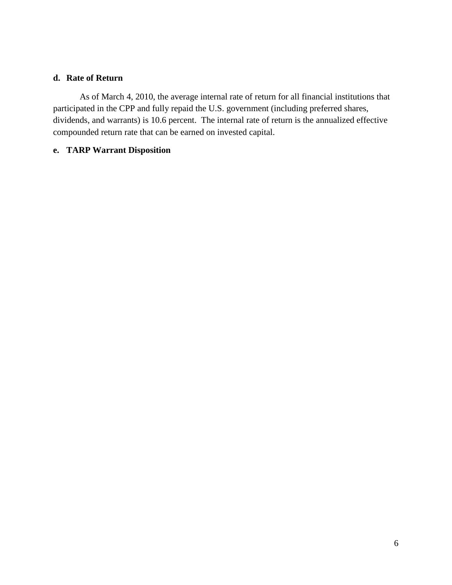## **d. Rate of Return**

As of March 4, 2010, the average internal rate of return for all financial institutions that participated in the CPP and fully repaid the U.S. government (including preferred shares, dividends, and warrants) is 10.6 percent. The internal rate of return is the annualized effective compounded return rate that can be earned on invested capital.

## **e. TARP Warrant Disposition**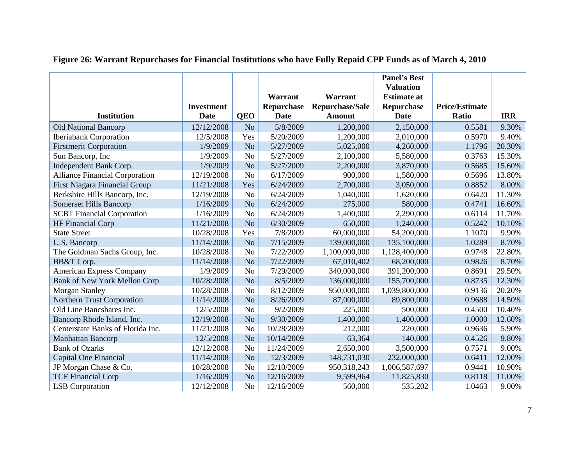|                                       |                   |                |             |                        | <b>Panel's Best</b><br><b>Valuation</b> |                       |            |
|---------------------------------------|-------------------|----------------|-------------|------------------------|-----------------------------------------|-----------------------|------------|
|                                       |                   |                | Warrant     | Warrant                | <b>Estimate at</b>                      |                       |            |
|                                       | <b>Investment</b> |                | Repurchase  | <b>Repurchase/Sale</b> | Repurchase                              | <b>Price/Estimate</b> |            |
| <b>Institution</b>                    | <b>Date</b>       | <b>QEO</b>     | <b>Date</b> | <b>Amount</b>          | <b>Date</b>                             | Ratio                 | <b>IRR</b> |
| <b>Old National Bancorp</b>           | 12/12/2008        | N <sub>o</sub> | 5/8/2009    | 1,200,000              | 2,150,000                               | 0.5581                | 9.30%      |
| <b>Iberiabank Corporation</b>         | 12/5/2008         | Yes            | 5/20/2009   | 1,200,000              | 2,010,000                               | 0.5970                | 9.40%      |
| <b>Firstmerit Corporation</b>         | 1/9/2009          | N <sub>o</sub> | 5/27/2009   | 5,025,000              | 4,260,000                               | 1.1796                | 20.30%     |
| Sun Bancorp, Inc                      | 1/9/2009          | N <sub>o</sub> | 5/27/2009   | 2,100,000              | 5,580,000                               | 0.3763                | 15.30%     |
| Independent Bank Corp.                | 1/9/2009          | N <sub>o</sub> | 5/27/2009   | 2,200,000              | 3,870,000                               | 0.5685                | 15.60%     |
| <b>Alliance Financial Corporation</b> | 12/19/2008        | N <sub>o</sub> | 6/17/2009   | 900,000                | 1,580,000                               | 0.5696                | 13.80%     |
| <b>First Niagara Financial Group</b>  | 11/21/2008        | Yes            | 6/24/2009   | 2,700,000              | 3,050,000                               | 0.8852                | 8.00%      |
| Berkshire Hills Bancorp, Inc.         | 12/19/2008        | N <sub>o</sub> | 6/24/2009   | 1,040,000              | 1,620,000                               | 0.6420                | 11.30%     |
| <b>Somerset Hills Bancorp</b>         | 1/16/2009         | N <sub>o</sub> | 6/24/2009   | 275,000                | 580,000                                 | 0.4741                | 16.60%     |
| <b>SCBT</b> Financial Corporation     | 1/16/2009         | N <sub>o</sub> | 6/24/2009   | 1,400,000              | 2,290,000                               | 0.6114                | 11.70%     |
| HF Financial Corp                     | 11/21/2008        | N <sub>o</sub> | 6/30/2009   | 650,000                | 1,240,000                               | 0.5242                | 10.10%     |
| <b>State Street</b>                   | 10/28/2008        | Yes            | 7/8/2009    | 60,000,000             | 54,200,000                              | 1.1070                | 9.90%      |
| <b>U.S. Bancorp</b>                   | 11/14/2008        | N <sub>o</sub> | 7/15/2009   | 139,000,000            | 135,100,000                             | 1.0289                | 8.70%      |
| The Goldman Sachs Group, Inc.         | 10/28/2008        | N <sub>o</sub> | 7/22/2009   | 1,100,000,000          | 1,128,400,000                           | 0.9748                | 22.80%     |
| BB&T Corp.                            | 11/14/2008        | N <sub>o</sub> | 7/22/2009   | 67,010,402             | 68,200,000                              | 0.9826                | 8.70%      |
| <b>American Express Company</b>       | 1/9/2009          | N <sub>o</sub> | 7/29/2009   | 340,000,000            | 391,200,000                             | 0.8691                | 29.50%     |
| <b>Bank of New York Mellon Corp</b>   | 10/28/2008        | N <sub>o</sub> | 8/5/2009    | 136,000,000            | 155,700,000                             | 0.8735                | 12.30%     |
| <b>Morgan Stanley</b>                 | 10/28/2008        | N <sub>o</sub> | 8/12/2009   | 950,000,000            | 1,039,800,000                           | 0.9136                | 20.20%     |
| Northern Trust Corporation            | 11/14/2008        | N <sub>o</sub> | 8/26/2009   | 87,000,000             | 89,800,000                              | 0.9688                | 14.50%     |
| Old Line Bancshares Inc.              | 12/5/2008         | N <sub>o</sub> | 9/2/2009    | 225,000                | 500,000                                 | 0.4500                | 10.40%     |
| Bancorp Rhode Island, Inc.            | 12/19/2008        | N <sub>o</sub> | 9/30/2009   | 1,400,000              | 1,400,000                               | 1.0000                | 12.60%     |
| Centerstate Banks of Florida Inc.     | 11/21/2008        | N <sub>o</sub> | 10/28/2009  | 212,000                | 220,000                                 | 0.9636                | 5.90%      |
| <b>Manhattan Bancorp</b>              | 12/5/2008         | N <sub>o</sub> | 10/14/2009  | 63,364                 | 140,000                                 | 0.4526                | 9.80%      |
| <b>Bank of Ozarks</b>                 | 12/12/2008        | N <sub>o</sub> | 11/24/2009  | 2,650,000              | 3,500,000                               | 0.7571                | 9.00%      |
| Capital One Financial                 | 11/14/2008        | N <sub>o</sub> | 12/3/2009   | 148,731,030            | 232,000,000                             | 0.6411                | 12.00%     |
| JP Morgan Chase & Co.                 | 10/28/2008        | N <sub>o</sub> | 12/10/2009  | 950,318,243            | 1,006,587,697                           | 0.9441                | 10.90%     |
| <b>TCF Financial Corp</b>             | 1/16/2009         | N <sub>o</sub> | 12/16/2009  | 9,599,964              | 11,825,830                              | 0.8118                | 11.00%     |
| <b>LSB</b> Corporation                | 12/12/2008        | N <sub>o</sub> | 12/16/2009  | 560,000                | 535,202                                 | 1.0463                | 9.00%      |

# **Figure 26: Warrant Repurchases for Financial Institutions who have Fully Repaid CPP Funds as of March 4, 2010**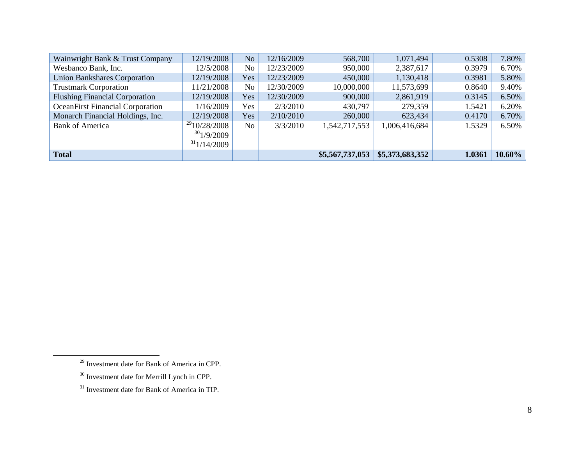<span id="page-8-2"></span><span id="page-8-1"></span><span id="page-8-0"></span>

| Wainwright Bank & Trust Company         | 12/19/2008        | No  | 12/16/2009 | 568,700         | 1,071,494       | 0.5308 | 7.80%  |
|-----------------------------------------|-------------------|-----|------------|-----------------|-----------------|--------|--------|
| Wesbanco Bank, Inc.                     | 12/5/2008         | No  | 12/23/2009 | 950,000         | 2,387,617       | 0.3979 | 6.70%  |
| <b>Union Bankshares Corporation</b>     | 12/19/2008        | Yes | 12/23/2009 | 450,000         | 1,130,418       | 0.3981 | 5.80%  |
| <b>Trustmark Corporation</b>            | 1/21/2008         | No  | 12/30/2009 | 10,000,000      | 11,573,699      | 0.8640 | 9.40%  |
| <b>Flushing Financial Corporation</b>   | 12/19/2008        | Yes | 12/30/2009 | 900,000         | 2,861,919       | 0.3145 | 6.50%  |
| <b>OceanFirst Financial Corporation</b> | 1/16/2009         | Yes | 2/3/2010   | 430,797         | 279,359         | 1.5421 | 6.20%  |
| Monarch Financial Holdings, Inc.        | 12/19/2008        | Yes | 2/10/2010  | 260,000         | 623,434         | 0.4170 | 6.70%  |
| <b>Bank of America</b>                  | $^{29}10/28/2008$ | No  | 3/3/2010   | 1,542,717,553   | 1,006,416,684   | 1.5329 | 6.50%  |
|                                         | 301/9/2009        |     |            |                 |                 |        |        |
|                                         | 31/14/2009        |     |            |                 |                 |        |        |
| <b>Total</b>                            |                   |     |            | \$5,567,737,053 | \$5,373,683,352 | 1.0361 | 10.60% |

 $\overline{\phantom{0}}$ 

<sup>29</sup> Investment date for Bank of America in CPP.

<sup>30</sup> Investment date for Merrill Lynch in CPP.

<sup>&</sup>lt;sup>31</sup> Investment date for Bank of America in TIP.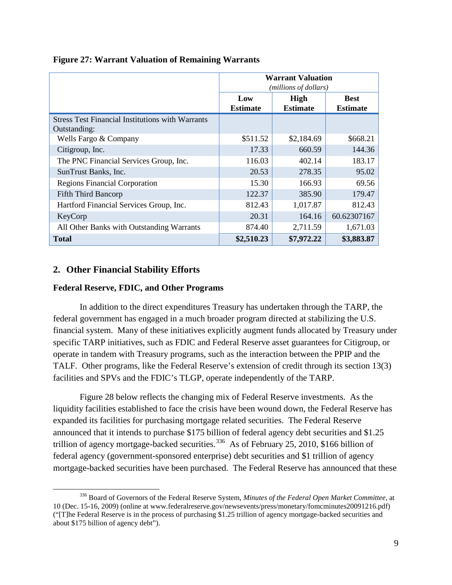|                                                                         | <b>Warrant Valuation</b><br>(millions of dollars) |                         |                                |  |  |
|-------------------------------------------------------------------------|---------------------------------------------------|-------------------------|--------------------------------|--|--|
|                                                                         | Low<br><b>Estimate</b>                            | High<br><b>Estimate</b> | <b>Best</b><br><b>Estimate</b> |  |  |
| <b>Stress Test Financial Institutions with Warrants</b><br>Outstanding: |                                                   |                         |                                |  |  |
| Wells Fargo & Company                                                   | \$511.52                                          | \$2,184.69              | \$668.21                       |  |  |
| Citigroup, Inc.                                                         | 17.33                                             | 660.59                  | 144.36                         |  |  |
| The PNC Financial Services Group, Inc.                                  | 116.03                                            | 402.14                  | 183.17                         |  |  |
| SunTrust Banks, Inc.                                                    | 20.53                                             | 278.35                  | 95.02                          |  |  |
| <b>Regions Financial Corporation</b>                                    | 15.30                                             | 166.93                  | 69.56                          |  |  |
| <b>Fifth Third Bancorp</b>                                              | 122.37                                            | 385.90                  | 179.47                         |  |  |
| Hartford Financial Services Group, Inc.                                 | 812.43                                            | 1,017.87                | 812.43                         |  |  |
| KeyCorp                                                                 | 20.31                                             | 164.16                  | 60.62307167                    |  |  |
| All Other Banks with Outstanding Warrants                               | 874.40                                            | 2,711.59                | 1,671.03                       |  |  |
| <b>Total</b>                                                            | \$2,510.23                                        | \$7,972.22              | \$3,883.87                     |  |  |

### **Figure 27: Warrant Valuation of Remaining Warrants**

## **2. Other Financial Stability Efforts**

ı

#### **Federal Reserve, FDIC, and Other Programs**

In addition to the direct expenditures Treasury has undertaken through the TARP, the federal government has engaged in a much broader program directed at stabilizing the U.S. financial system. Many of these initiatives explicitly augment funds allocated by Treasury under specific TARP initiatives, such as FDIC and Federal Reserve asset guarantees for Citigroup, or operate in tandem with Treasury programs, such as the interaction between the PPIP and the TALF. Other programs, like the Federal Reserve's extension of credit through its section 13(3) facilities and SPVs and the FDIC's TLGP, operate independently of the TARP.

Figure 28 below reflects the changing mix of Federal Reserve investments. As the liquidity facilities established to face the crisis have been wound down, the Federal Reserve has expanded its facilities for purchasing mortgage related securities. The Federal Reserve announced that it intends to purchase \$175 billion of federal agency debt securities and \$1.25 trillion of agency mortgage-backed securities.<sup>[336](#page-9-0)</sup> As of February 25, 2010, \$166 billion of federal agency (government-sponsored enterprise) debt securities and \$1 trillion of agency mortgage-backed securities have been purchased. The Federal Reserve has announced that these

<span id="page-9-0"></span><sup>336</sup> Board of Governors of the Federal Reserve System, *Minutes of the Federal Open Market Committee,* at 10 (Dec. 15-16, 2009) (online at www.federalreserve.gov/newsevents/press/monetary/fomcminutes20091216.pdf) ("[T]he Federal Reserve is in the process of purchasing \$1.25 trillion of agency mortgage-backed securities and about \$175 billion of agency debt").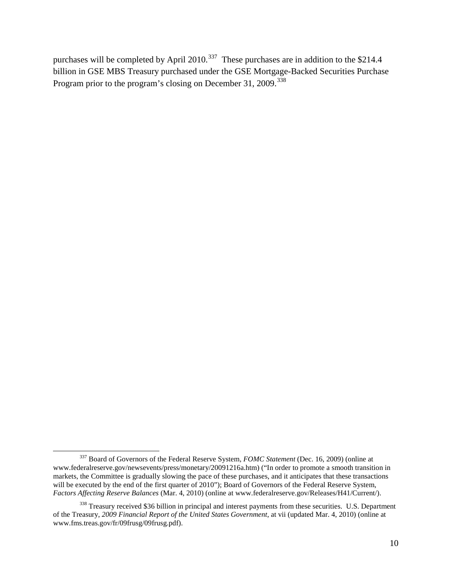purchases will be completed by April 2010.<sup>[337](#page-10-0)</sup> These purchases are in addition to the \$214.4 billion in GSE MBS Treasury purchased under the GSE Mortgage-Backed Securities Purchase Program prior to the program's closing on December 31, 2009.<sup>[338](#page-10-1)</sup>

 $\overline{\phantom{0}}$ 

<span id="page-10-0"></span><sup>337</sup> Board of Governors of the Federal Reserve System, *FOMC Statement* (Dec. 16, 2009) (online at www.federalreserve.gov/newsevents/press/monetary/20091216a.htm) ("In order to promote a smooth transition in markets, the Committee is gradually slowing the pace of these purchases, and it anticipates that these transactions will be executed by the end of the first quarter of 2010"); Board of Governors of the Federal Reserve System, *Factors Affecting Reserve Balances* (Mar. 4, 2010) (online at www.federalreserve.gov/Releases/H41/Current/).

<span id="page-10-1"></span><sup>&</sup>lt;sup>338</sup> Treasury received \$36 billion in principal and interest payments from these securities. U.S. Department of the Treasury, *2009 Financial Report of the United States Government*, at vii (updated Mar. 4, 2010) (online at www.fms.treas.gov/fr/09frusg/09frusg.pdf).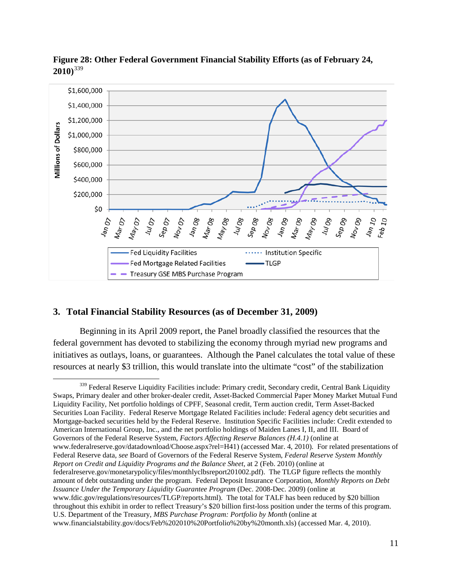

**Figure 28: Other Federal Government Financial Stability Efforts (as of February 24, 2010)**[339](#page-11-0)

## **3. Total Financial Stability Resources (as of December 31, 2009)**

ı

Beginning in its April 2009 report, the Panel broadly classified the resources that the federal government has devoted to stabilizing the economy through myriad new programs and initiatives as outlays, loans, or guarantees. Although the Panel calculates the total value of these resources at nearly \$3 trillion, this would translate into the ultimate "cost" of the stabilization

<span id="page-11-0"></span><sup>&</sup>lt;sup>339</sup> Federal Reserve Liquidity Facilities include: Primary credit, Secondary credit, Central Bank Liquidity Swaps, Primary dealer and other broker-dealer credit, Asset-Backed Commercial Paper Money Market Mutual Fund Liquidity Facility, Net portfolio holdings of CPFF, Seasonal credit, Term auction credit, Term Asset-Backed Securities Loan Facility. Federal Reserve Mortgage Related Facilities include: Federal agency debt securities and Mortgage-backed securities held by the Federal Reserve. Institution Specific Facilities include: Credit extended to American International Group, Inc., and the net portfolio holdings of Maiden Lanes I, II, and III. Board of Governors of the Federal Reserve System, *Factors Affecting Reserve Balances (H.4.1)* (online at www.federalreserve.gov/datadownload/Choose.aspx?rel=H41) (accessed Mar. 4, 2010). For related presentations of Federal Reserve data, *see* Board of Governors of the Federal Reserve System, *Federal Reserve System Monthly Report on Credit and Liquidity Programs and the Balance Sheet*, at 2 (Feb. 2010) (online at federalreserve.gov/monetarypolicy/files/monthlyclbsreport201002.pdf). The TLGP figure reflects the monthly amount of debt outstanding under the program. Federal Deposit Insurance Corporation, *Monthly Reports on Debt Issuance Under the Temporary Liquidity Guarantee Program* (Dec. 2008-Dec. 2009) (online at www.fdic.gov/regulations/resources/TLGP/reports.html). The total for TALF has been reduced by \$20 billion throughout this exhibit in order to reflect Treasury's \$20 billion first-loss position under the terms of this program. U.S. Department of the Treasury, *MBS Purchase Program: Portfolio by Month* (online at www.financialstability.gov/docs/Feb%202010%20Portfolio%20by%20month.xls) (accessed Mar. 4, 2010).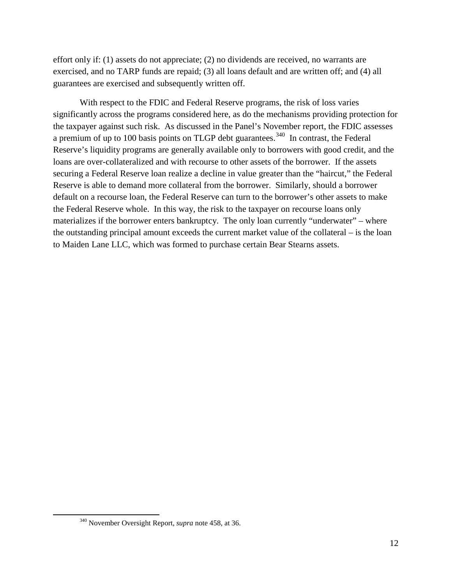effort only if: (1) assets do not appreciate; (2) no dividends are received, no warrants are exercised, and no TARP funds are repaid; (3) all loans default and are written off; and (4) all guarantees are exercised and subsequently written off.

With respect to the FDIC and Federal Reserve programs, the risk of loss varies significantly across the programs considered here, as do the mechanisms providing protection for the taxpayer against such risk. As discussed in the Panel's November report, the FDIC assesses a premium of up to 100 basis points on TLGP debt guarantees.<sup>[340](#page-12-0)</sup> In contrast, the Federal Reserve's liquidity programs are generally available only to borrowers with good credit, and the loans are over-collateralized and with recourse to other assets of the borrower. If the assets securing a Federal Reserve loan realize a decline in value greater than the "haircut," the Federal Reserve is able to demand more collateral from the borrower. Similarly, should a borrower default on a recourse loan, the Federal Reserve can turn to the borrower's other assets to make the Federal Reserve whole. In this way, the risk to the taxpayer on recourse loans only materializes if the borrower enters bankruptcy. The only loan currently "underwater" – where the outstanding principal amount exceeds the current market value of the collateral – is the loan to Maiden Lane LLC, which was formed to purchase certain Bear Stearns assets.

<span id="page-12-0"></span>l

<sup>340</sup> November Oversight Report, *supra* note 458, at 36.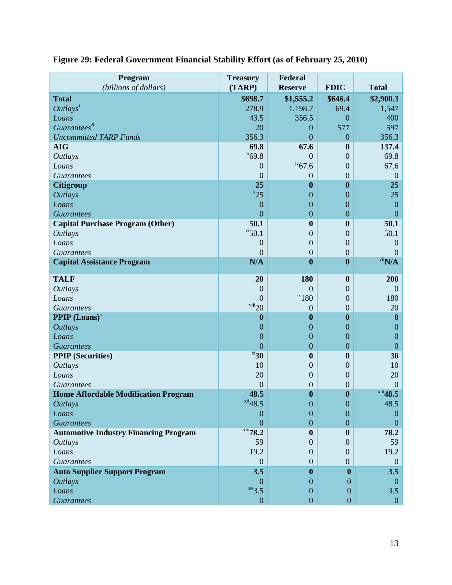| Program<br>(billions of dollars)             | <b>Treasury</b><br>(TARP) | Federal<br><b>Reserve</b> | <b>FDIC</b>      | <b>Total</b>                |
|----------------------------------------------|---------------------------|---------------------------|------------------|-----------------------------|
| <b>Total</b>                                 | \$698.7                   | \$1,555.2                 | \$646.4          | \$2,900.3                   |
| $Outlays^i$                                  | 278.9                     | 1,198.7                   | 69.4             | 1,547                       |
| Loans                                        | 43.5                      | 356.5                     | $\boldsymbol{0}$ | 400                         |
| Guaranteesii                                 | 20                        | $\boldsymbol{0}$          | 577              | 597                         |
| <b>Uncommitted TARP Funds</b>                | 356.3                     | $\overline{0}$            | $\boldsymbol{0}$ | 356.3                       |
| <b>AIG</b>                                   | 69.8                      | 67.6                      | $\boldsymbol{0}$ | 137.4                       |
| <b>Outlays</b>                               | $\overline{^{iii}}$ 69.8  | $\boldsymbol{0}$          | $\overline{0}$   | 69.8                        |
| Loans                                        | $\overline{0}$            | $iv_{67.6}$               | $\boldsymbol{0}$ | 67.6                        |
| <b>Guarantees</b>                            | $\overline{0}$            | $\boldsymbol{0}$          | $\boldsymbol{0}$ | $\mathbf{0}$                |
| <b>Citigroup</b>                             | 25                        | $\bf{0}$                  | $\boldsymbol{0}$ | 25                          |
| <b>Outlays</b>                               | $v_{25}$                  | $\mathbf{0}$              | $\boldsymbol{0}$ | 25                          |
| Loans                                        | $\boldsymbol{0}$          | $\boldsymbol{0}$          | $\boldsymbol{0}$ | $\boldsymbol{0}$            |
| <b>Guarantees</b>                            | $\overline{0}$            | $\boldsymbol{0}$          | $\overline{0}$   | $\overline{0}$              |
| <b>Capital Purchase Program (Other)</b>      | 50.1                      | $\boldsymbol{0}$          | $\boldsymbol{0}$ | 50.1                        |
| <b>Outlays</b>                               | $\frac{vi}{50.1}$         | $\overline{0}$            | $\boldsymbol{0}$ | 50.1                        |
| Loans                                        | $\boldsymbol{0}$          | $\overline{0}$            | $\boldsymbol{0}$ | $\theta$                    |
| <b>Guarantees</b>                            | $\overline{0}$            | $\overline{0}$            | $\boldsymbol{0}$ | $\theta$                    |
| <b>Capital Assistance Program</b>            | N/A                       | $\bf{0}$                  | $\boldsymbol{0}$ | $\overline{\text{vii}}$ N/A |
| <b>TALF</b>                                  | 20                        | 180                       | $\boldsymbol{0}$ | 200                         |
| <b>Outlays</b>                               | $\boldsymbol{0}$          | $\overline{0}$            | $\boldsymbol{0}$ | $\overline{0}$              |
| Loans                                        | $\theta$                  | $ix_180$                  | $\overline{0}$   | 180                         |
| <b>Guarantees</b>                            | viii20                    | $\theta$                  | $\overline{0}$   | 20                          |
| <b>PPIP</b> $(Loans)^x$                      | $\boldsymbol{0}$          | $\boldsymbol{0}$          | $\boldsymbol{0}$ | $\boldsymbol{0}$            |
| <b>Outlays</b>                               | $\mathbf{0}$              | $\mathbf{0}$              | $\boldsymbol{0}$ | $\overline{0}$              |
| Loans                                        | $\boldsymbol{0}$          | $\mathbf{0}$              | $\boldsymbol{0}$ | $\boldsymbol{0}$            |
| <b>Guarantees</b>                            | $\overline{0}$            | $\boldsymbol{0}$          | $\boldsymbol{0}$ | $\overline{0}$              |
| <b>PPIP</b> (Securities)                     | $x_i$ 30                  | $\boldsymbol{0}$          | $\boldsymbol{0}$ | 30                          |
| <b>Outlays</b>                               | 10                        | $\overline{0}$            | $\boldsymbol{0}$ | 10                          |
| Loans                                        | 20                        | $\boldsymbol{0}$          | $\boldsymbol{0}$ | 20                          |
| <b>Guarantees</b>                            | $\overline{0}$            | $\overline{0}$            | $\boldsymbol{0}$ | $\theta$                    |
| <b>Home Affordable Modification Program</b>  | 48.5                      | $\boldsymbol{0}$          | $\boldsymbol{0}$ | $xiii$ 48.5                 |
| <b>Outlays</b>                               | $xii$ 48.5                | $\boldsymbol{0}$          | $\boldsymbol{0}$ | 48.5                        |
| Loans                                        | $\theta$                  | $\overline{0}$            | $\overline{0}$   | $\overline{0}$              |
| <b>Guarantees</b>                            | 0                         | $\overline{0}$            | $\overline{0}$   | $\theta$                    |
| <b>Automotive Industry Financing Program</b> | $xiv$ 78.2                | $\bf{0}$                  | $\boldsymbol{0}$ | 78.2                        |
| <b>Outlays</b>                               | 59                        | $\theta$                  | $\mathbf{0}$     | 59                          |
| Loans                                        | 19.2                      | $\boldsymbol{0}$          | $\mathbf{0}$     | 19.2                        |
| <b>Guarantees</b>                            | $\mathbf{0}$              | $\overline{0}$            | $\overline{0}$   | $\overline{0}$              |
| <b>Auto Supplier Support Program</b>         | 3.5                       | $\boldsymbol{0}$          | $\mathbf{0}$     | 3.5                         |
| <b>Outlays</b><br>Loans                      | $\Omega$<br>$xv_3.5$      | 0<br>$\boldsymbol{0}$     | 0<br>$\theta$    | $\theta$<br>3.5             |
|                                              |                           |                           |                  |                             |
| <b>Guarantees</b>                            | $\boldsymbol{0}$          | $\boldsymbol{0}$          | $\boldsymbol{0}$ | $\boldsymbol{0}$            |

# **Figure 29: Federal Government Financial Stability Effort (as of February 25, 2010)**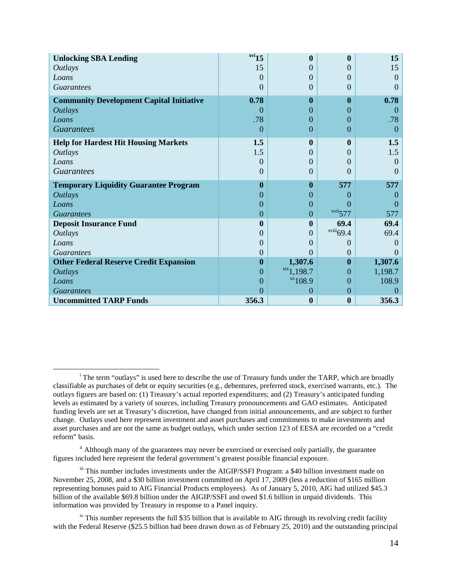| <b>Unlocking SBA Lending</b>                    | $xvi$ 15 | $\bf{0}$                  | $\boldsymbol{0}$      | 15       |
|-------------------------------------------------|----------|---------------------------|-----------------------|----------|
| <i>Outlays</i>                                  | 15       | $\theta$                  | $\mathbf{0}$          | 15       |
| Loans                                           | $\theta$ | $\Omega$                  | $\theta$              | $\Omega$ |
| <b>Guarantees</b>                               | $\Omega$ | $\Omega$                  | $\Omega$              | $\Omega$ |
| <b>Community Development Capital Initiative</b> | 0.78     | $\mathbf{0}$              | $\mathbf{0}$          | 0.78     |
| <b>Outlays</b>                                  | 0        | $\Omega$                  | $\Omega$              | $\Omega$ |
| Loans                                           | .78      | $\Omega$                  | $\Omega$              | .78      |
| <i>Guarantees</i>                               | $\theta$ | $\theta$                  | $\theta$              | $\Omega$ |
| <b>Help for Hardest Hit Housing Markets</b>     | 1.5      | $\boldsymbol{0}$          | $\bf{0}$              | 1.5      |
| <i>Outlays</i>                                  | 1.5      | $\Omega$                  | $\theta$              | 1.5      |
| Loans                                           | 0        | $\Omega$                  | $\Omega$              | $\Omega$ |
| <b>Guarantees</b>                               | $\Omega$ | $\Omega$                  | $\Omega$              | $\Omega$ |
|                                                 |          |                           |                       |          |
| <b>Temporary Liquidity Guarantee Program</b>    | $\bf{0}$ | $\bf{0}$                  | 577                   | 577      |
| <b>Outlays</b>                                  | 0        | $\Omega$                  | $\Omega$              | $\theta$ |
| Loans                                           | 0        | $\Omega$                  | $\mathbf{\Omega}$     |          |
| <i>Guarantees</i>                               | 0        | $\theta$                  | $xvii$ <sub>577</sub> | 577      |
| <b>Deposit Insurance Fund</b>                   | 0        | $\boldsymbol{0}$          | 69.4                  | 69.4     |
| <b>Outlays</b>                                  | 0        | $\Omega$                  | xviii69.4             | 69.4     |
| Loans                                           | 0        | $\mathbf{\Omega}$         | $\mathbf{0}$          | $\Omega$ |
| <b>Guarantees</b>                               | 0        | $\Omega$                  | $\Omega$              |          |
| <b>Other Federal Reserve Credit Expansion</b>   | $\bf{0}$ | 1,307.6                   | $\mathbf{0}$          | 1,307.6  |
| <b>Outlays</b>                                  | 0        | $xix$ <sub>1</sub> ,198.7 | $\theta$              | 1,198.7  |
| Loans                                           | 0        | $x^2$ 108.9               | 0                     | 108.9    |
| <i>Guarantees</i>                               | 0        | $\overline{0}$            | $\overline{0}$        | $\Omega$ |

ı

<span id="page-14-0"></span><sup>&</sup>lt;sup>i</sup> The term "outlays" is used here to describe the use of Treasury funds under the TARP, which are broadly classifiable as purchases of debt or equity securities (e.g., debentures, preferred stock, exercised warrants, etc.). The outlays figures are based on: (1) Treasury's actual reported expenditures; and (2) Treasury's anticipated funding levels as estimated by a variety of sources, including Treasury pronouncements and GAO estimates. Anticipated funding levels are set at Treasury's discretion, have changed from initial announcements, and are subject to further change. Outlays used here represent investment and asset purchases and commitments to make investments and asset purchases and are not the same as budget outlays, which under section 123 of EESA are recorded on a "credit reform" basis.

<span id="page-14-1"></span> $\mathbf{u}$ <sup>ii</sup> Although many of the guarantees may never be exercised or exercised only partially, the guarantee figures included here represent the federal government's greatest possible financial exposure.

<span id="page-14-2"></span>iii This number includes investments under the AIGIP/SSFI Program: a \$40 billion investment made on November 25, 2008, and a \$30 billion investment committed on April 17, 2009 (less a reduction of \$165 million representing bonuses paid to AIG Financial Products employees). As of January 5, 2010, AIG had utilized \$45.3 billion of the available \$69.8 billion under the AIGIP/SSFI and owed \$1.6 billion in unpaid dividends. This information was provided by Treasury in response to a Panel inquiry.

<span id="page-14-3"></span><sup>&</sup>lt;sup>iv</sup> This number represents the full \$35 billion that is available to AIG through its revolving credit facility with the Federal Reserve (\$25.5 billion had been drawn down as of February 25, 2010) and the outstanding principal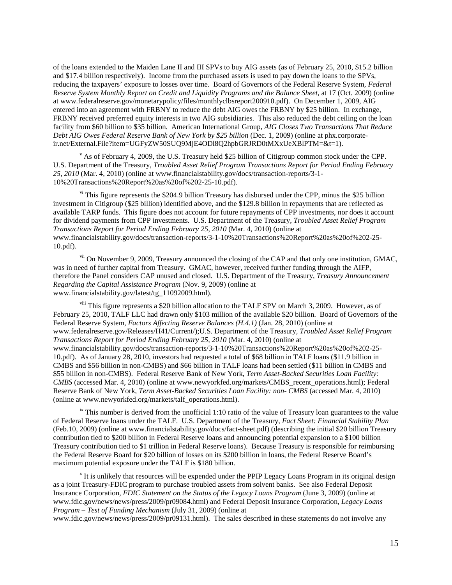of the loans extended to the Maiden Lane II and III SPVs to buy AIG assets (as of February 25, 2010, \$15.2 billion and \$17.4 billion respectively). Income from the purchased assets is used to pay down the loans to the SPVs, reducing the taxpayers' exposure to losses over time. Board of Governors of the Federal Reserve System, *Federal Reserve System Monthly Report on Credit and Liquidity Programs and the Balance Sheet*, at 17 (Oct. 2009) (online at www.federalreserve.gov/monetarypolicy/files/monthlyclbsreport200910.pdf). On December 1, 2009, AIG entered into an agreement with FRBNY to reduce the debt AIG owes the FRBNY by \$25 billion. In exchange, FRBNY received preferred equity interests in two AIG subsidiaries. This also reduced the debt ceiling on the loan facility from \$60 billion to \$35 billion. American International Group, *AIG Closes Two Transactions That Reduce Debt AIG Owes Federal Reserve Bank of New York by \$25 billion* (Dec. 1, 2009) (online at phx.corporateir.net/External.File?item=UGFyZW50SUQ9MjE4ODl8Q2hpbGRJRD0tMXxUeXBlPTM=&t=1).

 $\overline{\phantom{0}}$ 

<span id="page-15-0"></span> $\rm v$  As of February 4, 2009, the U.S. Treasury held \$25 billion of Citigroup common stock under the CPP. U.S. Department of the Treasury, *Troubled Asset Relief Program Transactions Report for Period Ending February 25, 2010* (Mar. 4, 2010) (online at www.financialstability.gov/docs/transaction-reports/3-1- 10%20Transactions%20Report%20as%20of%202-25-10.pdf).

<span id="page-15-1"></span> $v<sup>i</sup>$  This figure represents the \$204.9 billion Treasury has disbursed under the CPP, minus the \$25 billion investment in Citigroup (\$25 billion) identified above, and the \$129.8 billion in repayments that are reflected as available TARP funds. This figure does not account for future repayments of CPP investments, nor does it account for dividend payments from CPP investments. U.S. Department of the Treasury, *Troubled Asset Relief Program Transactions Report for Period Ending February 25, 2010* (Mar. 4, 2010) (online at www.financialstability.gov/docs/transaction-reports/3-1-10%20Transactions%20Report%20as%20of%202-25- 10.pdf).

<span id="page-15-2"></span>vii On November 9, 2009, Treasury announced the closing of the CAP and that only one institution, GMAC, was in need of further capital from Treasury. GMAC, however, received further funding through the AIFP, therefore the Panel considers CAP unused and closed. U.S. Department of the Treasury, *Treasury Announcement Regarding the Capital Assistance Program* (Nov. 9, 2009) (online at www.financialstability.gov/latest/tg\_11092009.html).

<span id="page-15-3"></span>viii This figure represents a \$20 billion allocation to the TALF SPV on March 3, 2009. However, as of February 25, 2010, TALF LLC had drawn only \$103 million of the available \$20 billion. Board of Governors of the Federal Reserve System, *Factors Affecting Reserve Balances (H.4.1)* (Jan. 28, 2010) (online at www.federalreserve.gov/Releases/H41/Current/);U.S. Department of the Treasury, *Troubled Asset Relief Program Transactions Report for Period Ending February 25, 2010* (Mar. 4, 2010) (online at www.financialstability.gov/docs/transaction-reports/3-1-10%20Transactions%20Report%20as%20of%202-25- 10.pdf). As of January 28, 2010, investors had requested a total of \$68 billion in TALF loans (\$11.9 billion in CMBS and \$56 billion in non-CMBS) and \$66 billion in TALF loans had been settled (\$11 billion in CMBS and \$55 billion in non-CMBS). Federal Reserve Bank of New York, *Term Asset-Backed Securities Loan Facility: CMBS* (accessed Mar. 4, 2010) (online at www.newyorkfed.org/markets/CMBS\_recent\_operations.html); Federal Reserve Bank of New York, *Term Asset-Backed Securities Loan Facility: non- CMBS* (accessed Mar. 4, 2010) (online at www.newyorkfed.org/markets/talf\_operations.html).

<span id="page-15-4"></span> $\frac{1}{x}$  This number is derived from the unofficial 1:10 ratio of the value of Treasury loan guarantees to the value of Federal Reserve loans under the TALF. U.S. Department of the Treasury, *Fact Sheet: Financial Stability Plan* (Feb.10, 2009) (online at www.financialstability.gov/docs/fact-sheet.pdf) (describing the initial \$20 billion Treasury contribution tied to \$200 billion in Federal Reserve loans and announcing potential expansion to a \$100 billion Treasury contribution tied to \$1 trillion in Federal Reserve loans). Because Treasury is responsible for reimbursing the Federal Reserve Board for \$20 billion of losses on its \$200 billion in loans, the Federal Reserve Board's maximum potential exposure under the TALF is \$180 billion.

<span id="page-15-5"></span> $x$  It is unlikely that resources will be expended under the PPIP Legacy Loans Program in its original design as a joint Treasury-FDIC program to purchase troubled assets from solvent banks. See also Federal Deposit Insurance Corporation*, FDIC Statement on the Status of the Legacy Loans Program* (June 3, 2009) (online at www.fdic.gov/news/news/press/2009/pr09084.html) and Federal Deposit Insurance Corporation, *Legacy Loans Program – Test of Funding Mechanism* (July 31, 2009) (online at

www.fdic.gov/news/news/press/2009/pr09131.html). The sales described in these statements do not involve any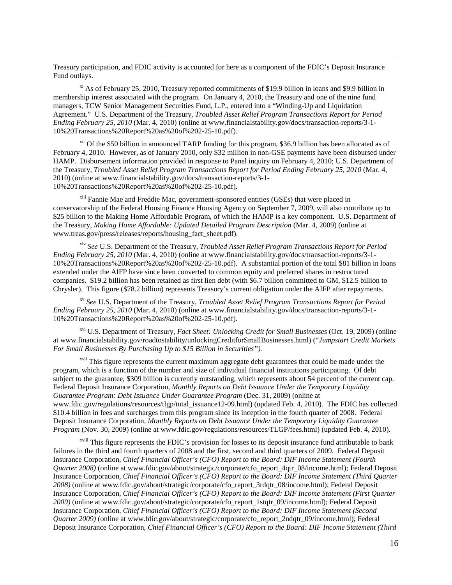Treasury participation, and FDIC activity is accounted for here as a component of the FDIC's Deposit Insurance Fund outlays.

 $\overline{\phantom{0}}$ 

<span id="page-16-0"></span> $\frac{x_i}{x_i}$  As of February 25, 2010, Treasury reported commitments of \$19.9 billion in loans and \$9.9 billion in membership interest associated with the program. On January 4, 2010, the Treasury and one of the nine fund managers, TCW Senior Management Securities Fund, L.P., entered into a "Winding-Up and Liquidation Agreement." U.S. Department of the Treasury, *Troubled Asset Relief Program Transactions Report for Period Ending February 25, 2010* (Mar. 4, 2010) (online at www.financialstability.gov/docs/transaction-reports/3-1- 10%20Transactions%20Report%20as%20of%202-25-10.pdf).

<span id="page-16-1"></span> $x^{11}$  Of the \$50 billion in announced TARP funding for this program, \$36.9 billion has been allocated as of February 4, 2010. However, as of January 2010, only \$32 million in non-GSE payments have been disbursed under HAMP. Disbursement information provided in response to Panel inquiry on February 4, 2010; U.S. Department of the Treasury, *Troubled Asset Relief Program Transactions Report for Period Ending February 25, 2010* (Mar. 4, 2010) (online at www.financialstability.gov/docs/transaction-reports/3-1- 10%20Transactions%20Report%20as%20of%202-25-10.pdf).

<span id="page-16-2"></span>xiii Fannie Mae and Freddie Mac, government-sponsored entities (GSEs) that were placed in conservatorship of the Federal Housing Finance Housing Agency on September 7, 2009, will also contribute up to \$25 billion to the Making Home Affordable Program, of which the HAMP is a key component. U.S. Department of the Treasury, *Making Home Affordable: Updated Detailed Program Description* (Mar. 4, 2009) (online at www.treas.gov/press/releases/reports/housing\_fact\_sheet.pdf).

<span id="page-16-3"></span>xiv *See* U.S. Department of the Treasury, *Troubled Asset Relief Program Transactions Report for Period Ending February 25, 2010* (Mar. 4, 2010) (online at www.financialstability.gov/docs/transaction-reports/3-1- 10%20Transactions%20Report%20as%20of%202-25-10.pdf). A substantial portion of the total \$81 billion in loans extended under the AIFP have since been converted to common equity and preferred shares in restructured companies. \$19.2 billion has been retained as first lien debt (with \$6.7 billion committed to GM, \$12.5 billion to Chrysler). This figure (\$78.2 billion) represents Treasury's current obligation under the AIFP after repayments.

<span id="page-16-4"></span>xv *See* U.S. Department of the Treasury, *Troubled Asset Relief Program Transactions Report for Period Ending February 25, 2010* (Mar. 4, 2010) (online at www.financialstability.gov/docs/transaction-reports/3-1- 10%20Transactions%20Report%20as%20of%202-25-10.pdf).

<span id="page-16-5"></span>xvi U.S. Department of Treasury, *Fact Sheet: Unlocking Credit for Small Businesses* (Oct. 19, 2009) (online at www.financialstability.gov/roadtostability/unlockingCreditforSmallBusinesses.html) ("*Jumpstart Credit Markets For Small Businesses By Purchasing Up to \$15 Billion in Securities").*

<span id="page-16-6"></span>xvii This figure represents the current maximum aggregate debt guarantees that could be made under the program, which is a function of the number and size of individual financial institutions participating. Of debt subject to the guarantee, \$309 billion is currently outstanding, which represents about 54 percent of the current cap. Federal Deposit Insurance Corporation, *Monthly Reports on Debt Issuance Under the Temporary Liquidity Guarantee Program: Debt Issuance Under Guarantee Program* (Dec. 31, 2009) (online at www.fdic.gov/regulations/resources/tlgp/total\_issuance12-09.html) (updated Feb. 4, 2010). The FDIC has collected \$10.4 billion in fees and surcharges from this program since its inception in the fourth quarter of 2008. Federal Deposit Insurance Corporation, *Monthly Reports on Debt Issuance Under the Temporary Liquidity Guarantee Program* (Nov. 30, 2009) (online at www.fdic.gov/regulations/resources/TLGP/fees.html) (updated Feb. 4, 2010).

<span id="page-16-7"></span><sup>xviii</sup> This figure represents the FDIC's provision for losses to its deposit insurance fund attributable to bank failures in the third and fourth quarters of 2008 and the first, second and third quarters of 2009. Federal Deposit Insurance Corporation, *Chief Financial Officer's (CFO) Report to the Board: DIF Income Statement (Fourth Quarter 2008*) (online at www.fdic.gov/about/strategic/corporate/cfo\_report\_4qtr\_08/income.html); Federal Deposit Insurance Corporation, *Chief Financial Officer's (CFO) Report to the Board: DIF Income Statement (Third Quarter 2008)* (online at www.fdic.gov/about/strategic/corporate/cfo\_report\_3rdqtr\_08/income.html); Federal Deposit Insurance Corporation, *Chief Financial Officer's (CFO) Report to the Board: DIF Income Statement (First Quarter 2009)* (online at www.fdic.gov/about/strategic/corporate/cfo\_report\_1stqtr\_09/income.html); Federal Deposit Insurance Corporation, *Chief Financial Officer's (CFO) Report to the Board: DIF Income Statement (Second Quarter 2009)* (online at www.fdic.gov/about/strategic/corporate/cfo\_report\_2ndqtr\_09/income.html); Federal Deposit Insurance Corporation, *Chief Financial Officer's (CFO) Report to the Board: DIF Income Statement (Third*